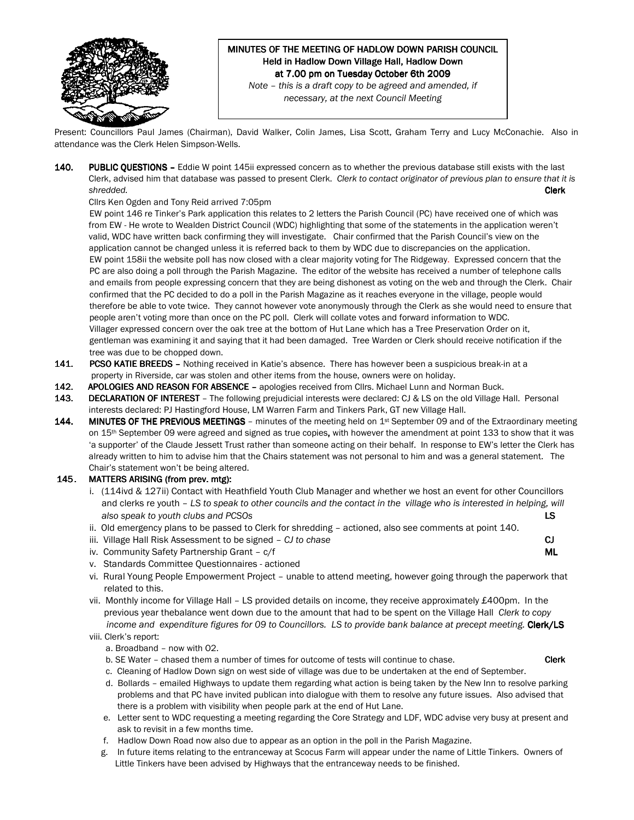

# MINUTES OF THE MEETING OF HADLOW DOWN PARISH COUNCIL Held in Hadlow Down Village Hall, Hadlow Down at 7.00 pm on Tuesday October 6th 2009

Note – this is a draft copy to be agreed and amended, if necessary, at the next Council Meeting

Present: Councillors Paul James (Chairman), David Walker, Colin James, Lisa Scott, Graham Terry and Lucy McConachie. Also in attendance was the Clerk Helen Simpson-Wells.

140. PUBLIC QUESTIONS - Eddie W point 145ii expressed concern as to whether the previous database still exists with the last Clerk, advised him that database was passed to present Clerk. Clerk to contact originator of previous plan to ensure that it is shredded. Clerk

Cllrs Ken Ogden and Tony Reid arrived 7:05pm

EW point 146 re Tinker's Park application this relates to 2 letters the Parish Council (PC) have received one of which was from EW - He wrote to Wealden District Council (WDC) highlighting that some of the statements in the application weren't valid, WDC have written back confirming they will investigate. Chair confirmed that the Parish Council's view on the application cannot be changed unless it is referred back to them by WDC due to discrepancies on the application. EW point 158ii the website poll has now closed with a clear majority voting for The Ridgeway. Expressed concern that the PC are also doing a poll through the Parish Magazine. The editor of the website has received a number of telephone calls and emails from people expressing concern that they are being dishonest as voting on the web and through the Clerk. Chair confirmed that the PC decided to do a poll in the Parish Magazine as it reaches everyone in the village, people would therefore be able to vote twice. They cannot however vote anonymously through the Clerk as she would need to ensure that people aren't voting more than once on the PC poll. Clerk will collate votes and forward information to WDC. Villager expressed concern over the oak tree at the bottom of Hut Lane which has a Tree Preservation Order on it, gentleman was examining it and saying that it had been damaged. Tree Warden or Clerk should receive notification if the tree was due to be chopped down.

- 141. PCSO KATIE BREEDS Nothing received in Katie's absence. There has however been a suspicious break-in at a property in Riverside, car was stolen and other items from the house, owners were on holiday.
- 142. APOLOGIES AND REASON FOR ABSENCE apologies received from Cllrs. Michael Lunn and Norman Buck.
- 143. DECLARATION OF INTEREST The following prejudicial interests were declared: CJ & LS on the old Village Hall. Personal interests declared: PJ Hastingford House, LM Warren Farm and Tinkers Park, GT new Village Hall.
- 144. MINUTES OF THE PREVIOUS MEETINGS minutes of the meeting held on  $1^{st}$  September 09 and of the Extraordinary meeting on 15<sup>th</sup> September 09 were agreed and signed as true copies, with however the amendment at point 133 to show that it was 'a supporter' of the Claude Jessett Trust rather than someone acting on their behalf. In response to EW's letter the Clerk has already written to him to advise him that the Chairs statement was not personal to him and was a general statement. The Chair's statement won't be being altered.

#### 145. MATTERS ARISING (from prev. mtg):

- i. (114ivd & 127ii) Contact with Heathfield Youth Club Manager and whether we host an event for other Councillors and clerks re youth – LS to speak to other councils and the contact in the village who is interested in helping, will also speak to youth clubs and PCSOs **LS** LS and the set of the set of the set of the set of the set of the set o
- ii. Old emergency plans to be passed to Clerk for shredding actioned, also see comments at point 140.
- iii. Village Hall Risk Assessment to be signed CJ to chase CJ is a control of the CJ to chase CJ is a control of CJ to chase CJ is a control of CJ is a control of CJ is a control of CJ is a control of CJ is a control of
- iv. Community Safety Partnership Grant c/f ML
- v. Standards Committee Questionnaires actioned
- vi. Rural Young People Empowerment Project unable to attend meeting, however going through the paperwork that related to this.
- vii. Monthly income for Village Hall LS provided details on income, they receive approximately £400pm. In the previous year thebalance went down due to the amount that had to be spent on the Village Hall Clerk to copy income and expenditure figures for 09 to Councillors. LS to provide bank balance at precept meeting. Clerk/LS viii. Clerk's report:

#### a. Broadband – now with O2.

- b. SE Water chased them a number of times for outcome of tests will continue to chase. Clerk
- c. Cleaning of Hadlow Down sign on west side of village was due to be undertaken at the end of September.
- d. Bollards emailed Highways to update them regarding what action is being taken by the New Inn to resolve parking problems and that PC have invited publican into dialogue with them to resolve any future issues. Also advised that there is a problem with visibility when people park at the end of Hut Lane.
- e. Letter sent to WDC requesting a meeting regarding the Core Strategy and LDF, WDC advise very busy at present and ask to revisit in a few months time.
- f. Hadlow Down Road now also due to appear as an option in the poll in the Parish Magazine.
- g. In future items relating to the entranceway at Scocus Farm will appear under the name of Little Tinkers. Owners of Little Tinkers have been advised by Highways that the entranceway needs to be finished.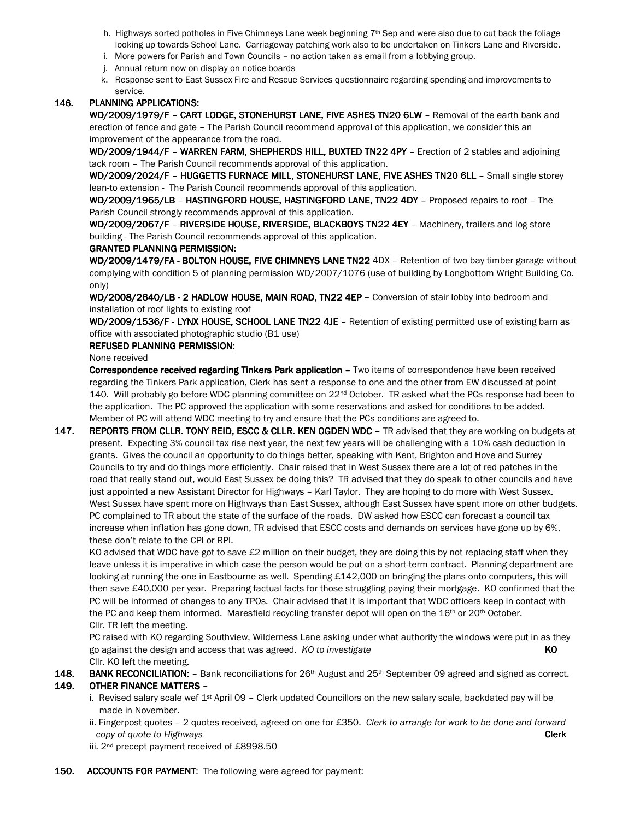- h. Highways sorted potholes in Five Chimneys Lane week beginning 7<sup>th</sup> Sep and were also due to cut back the foliage looking up towards School Lane. Carriageway patching work also to be undertaken on Tinkers Lane and Riverside.
- i. More powers for Parish and Town Councils no action taken as email from a lobbying group.
- j. Annual return now on display on notice boards
- k. Response sent to East Sussex Fire and Rescue Services questionnaire regarding spending and improvements to service.

# 146. PLANNING APPLICATIONS:

WD/2009/1979/F - CART LODGE, STONEHURST LANE, FIVE ASHES TN20 6LW - Removal of the earth bank and erection of fence and gate – The Parish Council recommend approval of this application, we consider this an improvement of the appearance from the road.

WD/2009/1944/F – WARREN FARM, SHEPHERDS HILL, BUXTED TN22 4PY – Erection of 2 stables and adjoining tack room – The Parish Council recommends approval of this application.

WD/2009/2024/F - HUGGETTS FURNACE MILL, STONEHURST LANE, FIVE ASHES TN20 6LL - Small single storey lean-to extension - The Parish Council recommends approval of this application.

WD/2009/1965/LB - HASTINGFORD HOUSE, HASTINGFORD LANE, TN22 4DY - Proposed repairs to roof - The Parish Council strongly recommends approval of this application.

WD/2009/2067/F - RIVERSIDE HOUSE, RIVERSIDE, BLACKBOYS TN22 4EY - Machinery, trailers and log store building - The Parish Council recommends approval of this application.

# GRANTED PLANNING PERMISSION: GRANTED PLANNING PERMISSION:

WD/2009/1479/FA - BOLTON HOUSE, FIVE CHIMNEYS LANE TN22 4DX - Retention of two bay timber garage without complying with condition 5 of planning permission WD/2007/1076 (use of building by Longbottom Wright Building Co. only)

WD/2008/2640/LB - 2 HADLOW HOUSE, MAIN ROAD, TN22 4EP - Conversion of stair lobby into bedroom and installation of roof lights to existing roof

WD/2009/1536/F - LYNX HOUSE, SCHOOL LANE TN22 4JE - Retention of existing permitted use of existing barn as office with associated photographic studio (B1 use)

# REFUSED PLANNING PERMISSION:

None received

Correspondence received regarding Tinkers Park application - Two items of correspondence have been received regarding the Tinkers Park application, Clerk has sent a response to one and the other from EW discussed at point 140. Will probably go before WDC planning committee on 22<sup>nd</sup> October. TR asked what the PCs response had been to the application. The PC approved the application with some reservations and asked for conditions to be added. Member of PC will attend WDC meeting to try and ensure that the PCs conditions are agreed to.

147. REPORTS FROM CLLR. TONY REID, ESCC & CLLR. KEN OGDEN WDC - TR advised that they are working on budgets at present. Expecting 3% council tax rise next year, the next few years will be challenging with a 10% cash deduction in grants. Gives the council an opportunity to do things better, speaking with Kent, Brighton and Hove and Surrey Councils to try and do things more efficiently. Chair raised that in West Sussex there are a lot of red patches in the road that really stand out, would East Sussex be doing this? TR advised that they do speak to other councils and have just appointed a new Assistant Director for Highways – Karl Taylor. They are hoping to do more with West Sussex. West Sussex have spent more on Highways than East Sussex, although East Sussex have spent more on other budgets. PC complained to TR about the state of the surface of the roads. DW asked how ESCC can forecast a council tax increase when inflation has gone down, TR advised that ESCC costs and demands on services have gone up by 6%, these don't relate to the CPI or RPI.

KO advised that WDC have got to save £2 million on their budget, they are doing this by not replacing staff when they leave unless it is imperative in which case the person would be put on a short-term contract. Planning department are looking at running the one in Eastbourne as well. Spending £142,000 on bringing the plans onto computers, this will then save £40,000 per year. Preparing factual facts for those struggling paying their mortgage. KO confirmed that the PC will be informed of changes to any TPOs. Chair advised that it is important that WDC officers keep in contact with the PC and keep them informed. Maresfield recycling transfer depot will open on the 16th or 20th October. Cllr. TR left the meeting.

 PC raised with KO regarding Southview, Wilderness Lane asking under what authority the windows were put in as they go against the design and access that was agreed. KO to investigate KO in the KO in the KO Cllr. KO left the meeting.

- 148. BANK RECONCILIATION:  $-$  Bank reconciliations for  $26th$  August and  $25th$  September 09 agreed and signed as correct. 149. OTHER FINANCE MATTERS
	- i. Revised salary scale wef  $1<sup>st</sup>$  April 09 Clerk updated Councillors on the new salary scale, backdated pay will be made in November.
	- ii. Fingerpost quotes 2 quotes received, agreed on one for £350. Clerk to arrange for work to be done and forward copy of quote to Highways **Clerk** Clerk **Clerk** Clerk Clerk Clerk Clerk Clerk Clerk Clerk Clerk Clerk Clerk Clerk
	- iii. 2nd precept payment received of £8998.50
- **150. ACCOUNTS FOR PAYMENT:** The following were agreed for payment: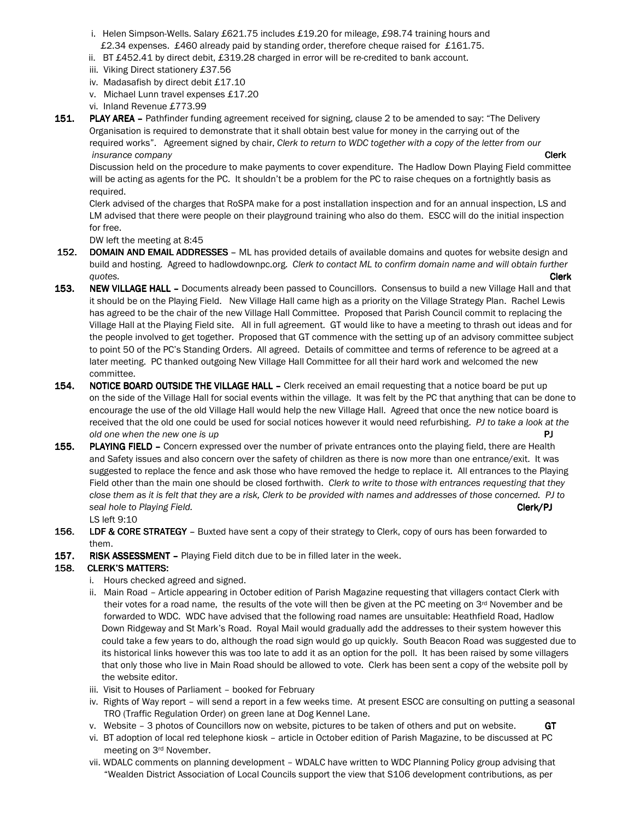- i. Helen Simpson-Wells. Salary £621.75 includes £19.20 for mileage, £98.74 training hours and £2.34 expenses. £460 already paid by standing order, therefore cheque raised for £161.75.
- ii. BT £452.41 by direct debit, £319.28 charged in error will be re-credited to bank account.
- iii. Viking Direct stationery £37.56
- iv. Madasafish by direct debit £17.10
- v. Michael Lunn travel expenses £17.20
- vi. Inland Revenue £773.99
- 151. PLAY AREA Pathfinder funding agreement received for signing, clause 2 to be amended to say: "The Delivery Organisation is required to demonstrate that it shall obtain best value for money in the carrying out of the required works". Agreement signed by chair, Clerk to return to WDC together with a copy of the letter from our insurance company **Clerk**  $\blacksquare$

 Discussion held on the procedure to make payments to cover expenditure. The Hadlow Down Playing Field committee will be acting as agents for the PC. It shouldn't be a problem for the PC to raise cheques on a fortnightly basis as required.

 Clerk advised of the charges that RoSPA make for a post installation inspection and for an annual inspection, LS and LM advised that there were people on their playground training who also do them. ESCC will do the initial inspection for free.

DW left the meeting at 8:45

- 152. DOMAIN AND EMAIL ADDRESSES ML has provided details of available domains and quotes for website design and build and hosting. Agreed to hadlowdownpc.org. Clerk to contact ML to confirm domain name and will obtain further quotes. **Clerk** the contract of the contract of the contract of the contract of the contract of the contract of the contract of the contract of the contract of the contract of the contract of the contract of the contract o
- 153. NEW VILLAGE HALL Documents already been passed to Councillors. Consensus to build a new Village Hall and that it should be on the Playing Field. New Village Hall came high as a priority on the Village Strategy Plan. Rachel Lewis has agreed to be the chair of the new Village Hall Committee. Proposed that Parish Council commit to replacing the Village Hall at the Playing Field site. All in full agreement. GT would like to have a meeting to thrash out ideas and for the people involved to get together. Proposed that GT commence with the setting up of an advisory committee subject to point 50 of the PC's Standing Orders. All agreed. Details of committee and terms of reference to be agreed at a later meeting. PC thanked outgoing New Village Hall Committee for all their hard work and welcomed the new committee.
- 154. NOTICE BOARD OUTSIDE THE VILLAGE HALL Clerk received an email requesting that a notice board be put up on the side of the Village Hall for social events within the village. It was felt by the PC that anything that can be done to encourage the use of the old Village Hall would help the new Village Hall. Agreed that once the new notice board is received that the old one could be used for social notices however it would need refurbishing. PJ to take a look at the old one when the new one is up **PJ**  $\blacksquare$
- 155. PLAYING FIELD Concern expressed over the number of private entrances onto the playing field, there are Health and Safety issues and also concern over the safety of children as there is now more than one entrance/exit. It was suggested to replace the fence and ask those who have removed the hedge to replace it. All entrances to the Playing Field other than the main one should be closed forthwith. Clerk to write to those with entrances requesting that they close them as it is felt that they are a risk, Clerk to be provided with names and addresses of those concerned. PJ to seal hole to Playing Field. **Clerk/PJ** and the control of the control of the clerk of the clerk/PJ and the clerk/PJ LS left 9:10
- 156. LDF & CORE STRATEGY Buxted have sent a copy of their strategy to Clerk, copy of ours has been forwarded to them.
- 157. RISK ASSESSMENT Playing Field ditch due to be in filled later in the week.

# 158. CLERK'S MATTERS:

- i. Hours checked agreed and signed.
- ii. Main Road Article appearing in October edition of Parish Magazine requesting that villagers contact Clerk with their votes for a road name, the results of the vote will then be given at the PC meeting on 3<sup>rd</sup> November and be forwarded to WDC. WDC have advised that the following road names are unsuitable: Heathfield Road, Hadlow Down Ridgeway and St Mark's Road. Royal Mail would gradually add the addresses to their system however this could take a few years to do, although the road sign would go up quickly. South Beacon Road was suggested due to its historical links however this was too late to add it as an option for the poll. It has been raised by some villagers that only those who live in Main Road should be allowed to vote. Clerk has been sent a copy of the website poll by the website editor.
- iii. Visit to Houses of Parliament booked for February
- iv. Rights of Way report will send a report in a few weeks time. At present ESCC are consulting on putting a seasonal TRO (Traffic Regulation Order) on green lane at Dog Kennel Lane.
- v. Website 3 photos of Councillors now on website, pictures to be taken of others and put on website.  $GT$
- vi. BT adoption of local red telephone kiosk article in October edition of Parish Magazine, to be discussed at PC meeting on 3rd November.
- vii. WDALC comments on planning development WDALC have written to WDC Planning Policy group advising that "Wealden District Association of Local Councils support the view that S106 development contributions, as per